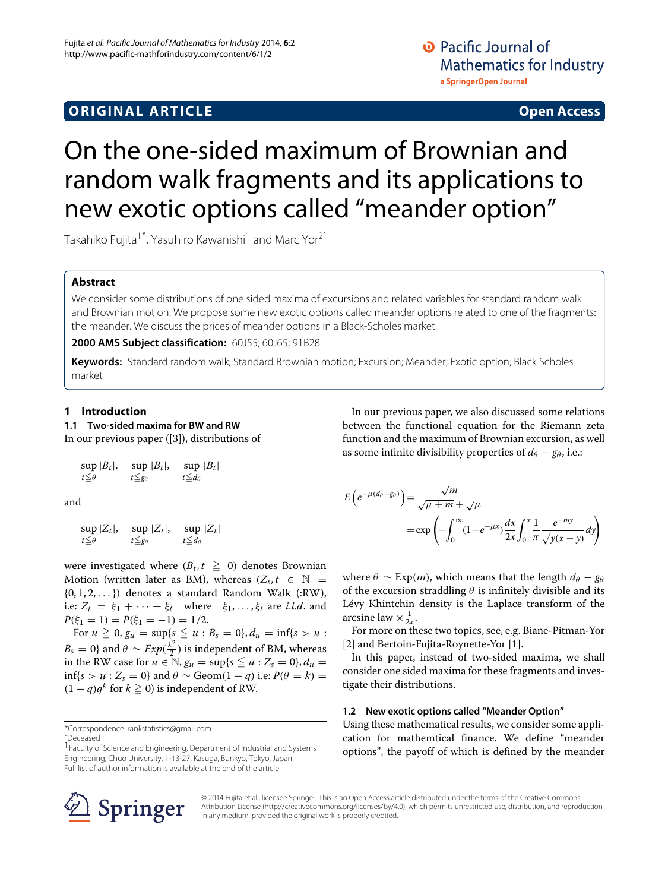# **ORIGINAL ARTICLE Open Access**

# On the one-sided maximum of Brownian and random walk fragments and its applications to new exotic options called "meander option"

Takahiko Fujita<sup>1\*</sup>, Yasuhiro Kawanishi<sup>1</sup> and Marc Yor<sup>2<sup>^</sup></sup>

# **Abstract**

We consider some distributions of one sided maxima of excursions and related variables for standard random walk and Brownian motion. We propose some new exotic options called meander options related to one of the fragments: the meander. We discuss the prices of meander options in a Black-Scholes market.

**2000 AMS Subject classification:** 60J55; 60J65; 91B28

**Keywords:** Standard random walk; Standard Brownian motion; Excursion; Meander; Exotic option; Black Scholes market

# **1 Introduction**

**1.1 Two-sided maxima for BW and RW**

In our previous paper ([\[3\]](#page-6-0)), distributions of

$$
\sup_{t \leq \theta} |B_t|, \quad \sup_{t \leq g_\theta} |B_t|, \quad \sup_{t \leq d_\theta} |B_t|
$$

and

$$
\sup_{t \leq \theta} |Z_t|, \quad \sup_{t \leq g_\theta} |Z_t|, \quad \sup_{t \leq d_\theta} |Z_t|
$$

were investigated where  $(B_t, t \geq 0)$  denotes Brownian Motion (written later as BM), whereas  $(Z_t, t \in \mathbb{N} =$  $\{0, 1, 2, \ldots\}$  denotes a standard Random Walk (:RW), i.e:  $Z_t = \xi_1 + \cdots + \xi_t$  where  $\xi_1, \ldots, \xi_t$  are *i.i.d.* and  $P(\xi_1 = 1) = P(\xi_1 = -1) = 1/2.$ 

For  $u \ge 0$ ,  $g_u = \sup\{s \le u : B_s = 0\}$ ,  $d_u = \inf\{s > u : B_s = 0\}$  $B_s = 0$ } and  $\theta \sim Exp(\frac{\lambda^2}{2})$  is independent of BM, whereas in the RW case for  $u \in \mathbb{N}$ ,  $g_u = \sup\{s \leq u : Z_s = 0\}$ ,  $d_u =$  $\inf\{s > u : Z_s = 0\}$  and  $\theta \sim \text{Geom}(1 - q)$  i.e:  $P(\theta = k) =$  $(1 - q)q<sup>k</sup>$  for *k* ≥ 0) is independent of RW.

\*Correspondence: [rankstatistics@gmail.com](mailto:rankstatistics@gmail.com) ˆDeceased

In our previous paper, we also discussed some relations between the functional equation for the Riemann zeta function and the maximum of Brownian excursion, as well as some infinite divisibility properties of  $d_{\theta} - g_{\theta}$ , i.e.:

$$
E\left(e^{-\mu(d_{\theta}-g_{\theta})}\right) = \frac{\sqrt{m}}{\sqrt{\mu+m} + \sqrt{\mu}}
$$
  
=  $\exp\left(-\int_0^{\infty} (1-e^{-\mu x}) \frac{dx}{2x} \int_0^x \frac{1}{\pi} \frac{e^{-my}}{\sqrt{y(x-y)}} dy\right)$ 

where  $\theta \sim \text{Exp}(m)$ , which means that the length  $d_{\theta} - g_{\theta}$ of the excursion straddling  $\theta$  is infinitely divisible and its Lévy Khintchin density is the Laplace transform of the arcsine law  $\times \frac{1}{2x}$ .

For more on these two topics, see, e.g. Biane-Pitman-Yor [\[2\]](#page-6-1) and Bertoin-Fujita-Roynette-Yor [\[1\]](#page-6-2).

In this paper, instead of two-sided maxima, we shall consider one sided maxima for these fragments and investigate their distributions.

# **1.2 New exotic options called "Meander Option"**

Using these mathematical results, we consider some application for mathemtical finance. We define "meander options", the payoff of which is defined by the meander



© 2014 Fujita et al.; licensee Springer. This is an Open Access article distributed under the terms of the Creative Commons Attribution License [\(http://creativecommons.org/licenses/by/4.0\)](http://creativecommons.org/licenses/by/4.0), which permits unrestricted use, distribution, and reproduction in any medium, provided the original work is properly credited.

<sup>&</sup>lt;sup>1</sup> Faculty of Science and Engineering, Department of Industrial and Systems Engineering, Chuo University, 1-13-27, Kasuga, Bunkyo, Tokyo, Japan Full list of author information is available at the end of the article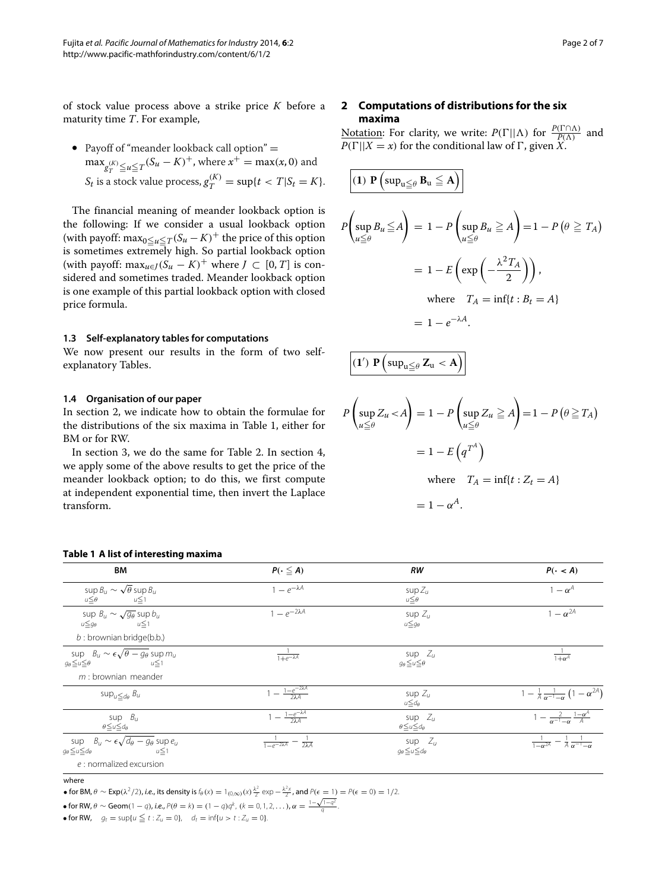of stock value process above a strike price *K* before a maturity time *T*. For example,

• Payoff of "meander lookback call option" =  $\max_{g_T^{(K)} \leq u \leq T} (S_u - K)^+$ , where  $x^+ = \max(x, 0)$  and  $S_t$  is a stock value process,  $g_T^{(K)} = \sup\{t < T | S_t = K\}.$ 

The financial meaning of meander lookback option is the following: If we consider a usual lookback option (with payoff: max $_{0 \le u \le T}$ ( $S_u - K$ )<sup>+</sup> the price of this option is sometimes extremely high. So partial lookback option (with payoff: max<sub>*u*∈*J*</sub>(*S<sub>u</sub>* − *K*)<sup>+</sup> where *J* ⊂ [0, *T*] is considered and sometimes traded. Meander lookback option is one example of this partial lookback option with closed price formula.

### **1.3 Self-explanatory tables for computations**

We now present our results in the form of two selfexplanatory Tables.

# **1.4 Organisation of our paper**

In section [2,](#page-1-0) we indicate how to obtain the formulae for the distributions of the six maxima in Table [1,](#page-1-1) either for BM or for RW.

In section [3,](#page-3-0) we do the same for Table [2.](#page-2-0) In section [4,](#page-4-0) we apply some of the above results to get the price of the meander lookback option; to do this, we first compute at independent exponential time, then invert the Laplace transform.

#### **Table 1 A list of interesting maxima**

# <span id="page-1-0"></span>**2 Computations of distributions for the six maxima**

Notation: For clarity, we write:  $P(\Gamma||\Lambda)$  for  $\frac{P(\Gamma \cap \Lambda)}{P(\Lambda)}$  and  $P(\Gamma||X = x)$  for the conditional law of  $\Gamma$ , given *X*.

$$
\left| \begin{array}{l} \textbf{(1) } \mathbf{P} \left( \sup_{u \leq \theta} B_u \leq A \right) \right| \\ \text{sup } B_u \leq A \right| = 1 - P \left( \sup_{u \leq \theta} B_u \geq A \right) = 1 - P \left( \theta \geq T_A \right) \\ = 1 - E \left( \exp \left( -\frac{\lambda^2 T_A}{2} \right) \right), \\ \text{where } T_A = \inf \{ t : B_t = A \} \\ = 1 - e^{-\lambda A}. \end{array}
$$

$$
(1')\,\,P\left(\sup\nolimits_{u\leqq\theta}Z_u\,<\,A\right)\right|
$$

$$
P\left(\sup_{u \le \theta} Z_u < A\right) = 1 - P\left(\sup_{u \le \theta} Z_u \ge A\right) = 1 - P\left(\theta \ge T_A\right)
$$
\n
$$
= 1 - E\left(q^{T^A}\right)
$$
\nwhere

\n
$$
T_A = \inf\{t : Z_t = A\}
$$

$$
=1-\alpha^A.
$$

<span id="page-1-1"></span>

| <b>BM</b>                                                                                                           | $P(\cdot \leq A)$                                    | <b>RW</b>                                          | $P(\cdot < A)$                                                       |
|---------------------------------------------------------------------------------------------------------------------|------------------------------------------------------|----------------------------------------------------|----------------------------------------------------------------------|
| sup $B_u \sim \sqrt{\theta}$ sup $B_u$<br>$u \leq \theta$<br>$u \leq 1$                                             | $1 - e^{-\lambda A}$                                 | sup $Z_u$<br>$u \leq \theta$                       | $1-\alpha^A$                                                         |
| sup $B_u \sim \sqrt{g_{\theta}}$ sup $b_u$<br>$u \leq q_\theta$<br>$u \leq 1$                                       | $1 - e^{-2\lambda A}$                                | sup $Z_u$<br>$u \leq g_{\theta}$                   | $1-\alpha^{2A}$                                                      |
| $b:$ brownian bridge(b.b.)                                                                                          |                                                      |                                                    |                                                                      |
| sup $B_u \sim \epsilon \sqrt{\theta - g_\theta}$ sup $m_u$<br>$g_{\theta} \leq u \leq \theta$<br>u≤1                | $\frac{1}{1+e^{-\lambda A}}$                         | sup $Z_u$<br>$g_{\theta} \leq u \leq \theta$       | $1+\alpha^A$                                                         |
| $m$ : brownian meander                                                                                              |                                                      |                                                    |                                                                      |
| $sup_{u \leq d_{\theta}} B_u$                                                                                       | $-\frac{1-e^{-2\lambda A}}{2\lambda A}$              | sup $Z_{II}$<br>$u \leq d_\theta$                  | $1 - \frac{1}{A} \frac{1}{\alpha^{-1} - \alpha} (1 - \alpha^{2A})$   |
| sup $B_u$<br>$\theta \le u \le d_\theta$                                                                            | $-\frac{1-e^{-\lambda A}}{2\lambda A}$               | sup $Z_u$<br>$\theta \le u \le d_\theta$           | $1 - \frac{2}{\alpha^{-1} - \alpha} \frac{1 - \alpha^A}{A}$          |
| sup $B_u \sim \epsilon \sqrt{d_{\theta} - g_{\theta}}$ sup $e_u$<br>$g_{\theta} \le u \le d_{\theta}$<br>$u \leq 1$ | $\frac{1}{1-e^{-2\lambda A}} - \frac{1}{2\lambda A}$ | sup $Z_u$<br>$g_{\theta} \leqq u \leqq d_{\theta}$ | $\frac{1}{1-\alpha^{2A}} - \frac{1}{A} \frac{1}{\alpha^{-1}-\alpha}$ |
| e : normalized excursion                                                                                            |                                                      |                                                    |                                                                      |

where

• for BM,  $\theta \sim \text{Exp}(\lambda^2/2)$ , *i.e.*, its density is  $f_\theta(x) = 1_{(0,\infty)}(x) \frac{\lambda^2}{2} \exp{-\frac{\lambda^2 x}{2}}$ , and  $P(\epsilon = 1) = P(\epsilon = 0) = 1/2$ .

• for RW,  $\theta \sim \text{Geom}(1-q)$ , *i.e.*,  $P(\theta = k) = (1-q)q^k$ ,  $(k = 0, 1, 2, ...)$ ,  $\alpha = \frac{1-\sqrt{1-q^2}}{q}$ .

• for RW,  $g_t = \sup\{u \le t : Z_u = 0\}$ ,  $d_t = \inf\{u > t : Z_u = 0\}$ .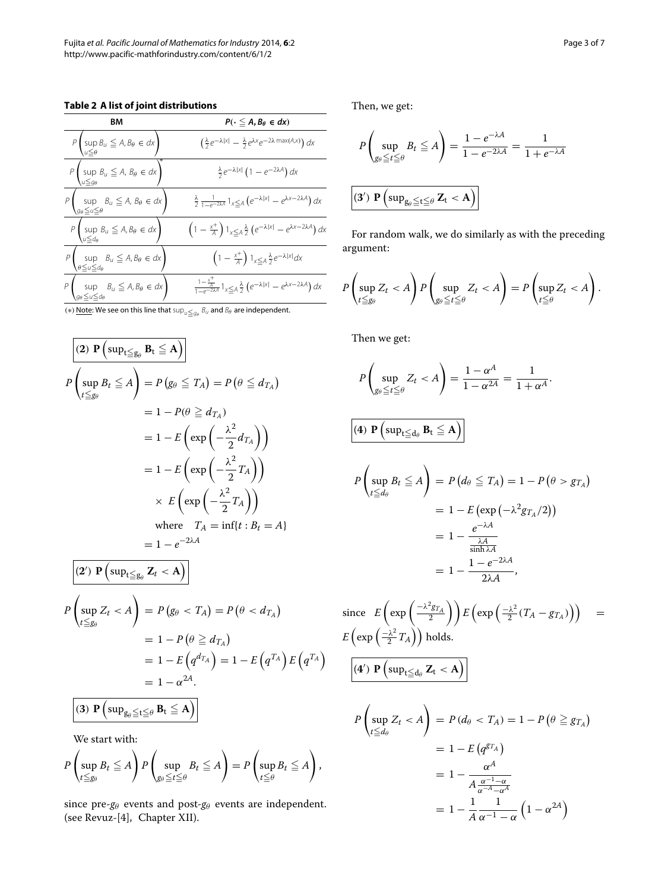# **Table 2 A list of joint distributions**

<span id="page-2-0"></span>

| וווטן וט ומאז ה בישוטו                                                                                                         |  |  |  |
|--------------------------------------------------------------------------------------------------------------------------------|--|--|--|
| $P(\cdot \leq A, B_{\theta} \in dx)$                                                                                           |  |  |  |
| $\left(\frac{\lambda}{2}e^{-\lambda x }-\frac{\lambda}{2}e^{\lambda x}e^{-2\lambda \max(A,x)}\right)dx$                        |  |  |  |
| $\frac{\lambda}{2}e^{-\lambda x }\left(1-e^{-2\lambda A}\right)dx$                                                             |  |  |  |
| $\frac{\lambda}{2} \frac{1}{1 - e^{-2\lambda A}} 1_{x \leq A} \left( e^{-\lambda  x } - e^{\lambda x - 2\lambda A} \right) dx$ |  |  |  |
| $\left(1-\frac{x^+}{A}\right)1_{x\leq A}\frac{\lambda}{2}\left(e^{-\lambda x }-e^{\lambda x-2\lambda A}\right)dx$              |  |  |  |
| $\left(1-\frac{x^+}{A}\right)1_{x\leq A}\frac{\lambda}{2}e^{-\lambda x }dx$                                                    |  |  |  |
| $\frac{1-\frac{x^+}{A}}{1-e^{-2\lambda A}}1_{x\leq A}\frac{\lambda}{2}\left(e^{-\lambda x }-e^{\lambda x-2\lambda A}\right)dx$ |  |  |  |
|                                                                                                                                |  |  |  |

(\*) <u>Note</u>: We see on this line that  $\sup_{u\leqq g_\theta} \mathcal{B}_u$  and  $\mathcal{B}_\theta$  are independent.

$$
\begin{aligned}\n\boxed{(2) \ P\left(\sup_{t \le g_{\theta}} B_{t} \le A\right)} \\
P\left(\sup_{t \le g_{\theta}} B_{t} \le A\right) &= P\left(g_{\theta} \le T_{A}\right) = P\left(\theta \le d_{T_{A}}\right) \\
&= 1 - P(\theta \ge d_{T_{A}}) \\
&= 1 - E\left(\exp\left(-\frac{\lambda^{2}}{2}d_{T_{A}}\right)\right) \\
&= 1 - E\left(\exp\left(-\frac{\lambda^{2}}{2}T_{A}\right)\right) \\
&\times E\left(\exp\left(-\frac{\lambda^{2}}{2}T_{A}\right)\right) \\
&\text{where } T_{A} = \inf\{t : B_{t} = A\} \\
&= 1 - e^{-2\lambda A}\n\end{aligned}
$$

 $\overline{\phantom{0}}$ 

$$
P\left(\sup_{t\leq g_{\theta}} Z_t < A\right)
$$
  
\n
$$
P\left(\sup_{t\leq g_{\theta}} Z_t < A\right) = P(g_{\theta} < T_A) = P(\theta < d_{T_A})
$$
  
\n
$$
= 1 - P(\theta \geq d_{T_A})
$$
  
\n
$$
= 1 - E\left(q^{d_{T_A}}\right) = 1 - E\left(q^{T_A}\right)E\left(q^{T_A}\right)
$$
  
\n
$$
= 1 - \alpha^{2A}.
$$
  
\n(3)  $\mathbf{P}\left(\sup_{g_{\theta} \leq t \leq \theta} \mathbf{B}_t \leq A\right)$ 

We start with:

$$
P\left(\sup_{t\leq g_\theta}B_t\leq A\right)P\left(\sup_{g_\theta\leq t\leq \theta}B_t\leq A\right)=P\left(\sup_{t\leq \theta}B_t\leq A\right),
$$

since pre- $g_{\theta}$  events and post- $g_{\theta}$  events are independent. (see Revuz-[\[4\]](#page-6-3), Chapter XII).

Then, we get:

$$
P\left(\sup_{g_{\theta}\leq t\leq \theta} B_t \leq A\right) = \frac{1 - e^{-\lambda A}}{1 - e^{-2\lambda A}} = \frac{1}{1 + e^{-\lambda A}}
$$
  
(3') **P** 
$$
\left(\sup_{g_{\theta}\leq t\leq \theta} \mathbf{Z}_t < A\right)
$$

For random walk, we do similarly as with the preceding argument:

$$
P\left(\sup_{t\leq g_\theta} Z_t < A\right)P\left(\sup_{g_\theta \leq t\leq \theta} Z_t < A\right) = P\left(\sup_{t\leq \theta} Z_t < A\right).
$$

Then we get:

$$
P\left(\sup_{g_{\theta}\leq t\leq\theta} Z_t < A\right) = \frac{1-\alpha^A}{1-\alpha^{2A}} = \frac{1}{1+\alpha^A}.
$$
\n
$$
(4) \ \mathbf{P}\left(\sup_{t\leq d_{\theta}} B_t \leq A\right)
$$
\n
$$
P\left(\sup_{t\leq d_{\theta}} B_t \leq A\right) = P\left(d_{\theta} \leq T_A\right) = 1 - P\left(\theta > g_{T_A}\right)
$$
\n
$$
= 1 - E\left(\exp\left(-\lambda^2 g_{T_A}/2\right)\right)
$$
\n
$$
= 1 - \frac{e^{-\lambda A}}{\frac{\lambda A}{\sinh \lambda A}}
$$
\n
$$
= 1 - \frac{1 - e^{-2\lambda A}}{2\lambda A},
$$
\nace

\n
$$
E\left(\exp\left(-\frac{\lambda^2 g_{T_A}}{2}\right)\right) E\left(\exp\left(-\frac{\lambda^2}{2}(T_A - g_{T_A})\right)\right) \quad \text{if } \left(\exp\left(-\frac{\lambda^2}{2}(T_A - g_{T_A})\right)\right) \quad \text{if } \left(\exp\left(-\frac{\lambda^2}{2}(T_A - g_{T_A})\right)\right) \quad \text{if } \left(\exp\left(-\frac{\lambda^2}{2}(T_A - g_{T_A})\right)\right) \quad \text{if } \left(\exp\left(-\frac{\lambda^2}{2}(T_A - g_{T_A})\right)\right) \quad \text{if } \left(\exp\left(-\frac{\lambda^2}{2}(T_A - g_{T_A})\right)\right) \quad \text{if } \left(\exp\left(-\frac{\lambda^2}{2}(T_A - g_{T_A})\right)\right) \quad \text{if } \left(\exp\left(-\frac{\lambda^2}{2}(T_A - g_{T_A})\right)\right) \quad \text{if } \left(\exp\left(-\frac{\lambda^2}{2}(T_A - g_{T_A})\right)\right) \quad \text{if } \left(\exp\left(-\frac{\lambda^2}{2}(T_A - g_{T_A})\right)\right) \quad \text{if } \left(\exp\left(-\frac{\lambda^2}{2}(T_A - g_{T_A})\right)\right) \quad \text{if } \left(\exp\left(-\frac{\lambda^2}{2}(T_A - g_{T_A})\right)\right) \quad \text{if } \left(\exp\left(-\frac{\lambda^2
$$

since 
$$
E\left(\exp\left(\frac{-\lambda^2 g_{T_A}}{2}\right)\right) E\left(\exp\left(\frac{-\lambda^2}{2}(T_A - g_{T_A})\right)\right) =
$$
  
\n $E\left(\exp\left(\frac{-\lambda^2}{2}T_A\right)\right)$  holds.  
\n
$$
\frac{(4') \ P\left(\sup_{t \le d_\theta} Z_t < A\right)}{P\left(\sup_{t \le d_\theta} Z_t < A\right)} = P\left(d_\theta < T_A\right) = 1 - P\left(\theta \ge g_{T_A}\right)
$$
\n
$$
= 1 - E\left(q^{g_{T_A}}\right)
$$
\n
$$
= 1 - \frac{\alpha^A}{A \frac{\alpha^{-A} - \alpha^A}{\alpha^{-A} - \alpha^A}}
$$
\n
$$
= 1 - \frac{1}{A} \frac{1}{\alpha^{-1} - \alpha} \left(1 - \alpha^{2A}\right)
$$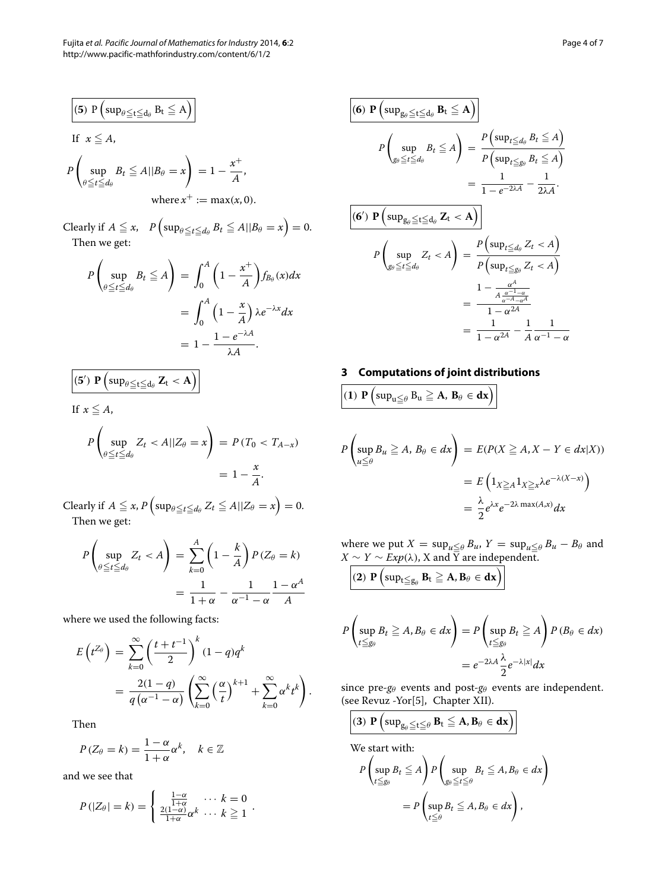Fujita *et al. Pacific Journal of Mathematics for Industry* 2014, **6**:2 Page 4 of 7 http://www.pacific-mathforindustry.com/content/6/1/2

$$
\begin{aligned}\n\boxed{(5) \ P\left(\sup_{\theta \le t \le d_{\theta}} B_t \le A\right)} \\
\text{If } x \le A, \\
P\left(\sup_{\theta \le t \le d_{\theta}} B_t \le A || B_{\theta} = x\right) &= 1 - \frac{x^+}{A}, \\
\text{where } x^+ := \max(x, 0).\n\end{aligned}
$$

Clearly if  $A \leqq x$ ,  $P\left(\sup_{\theta \leqq t \leqq d_{\theta}} B_t \leqq A || B_{\theta} = x\right) = 0$ . Then we get:

$$
P\left(\sup_{\theta \le t \le d_{\theta}} B_t \le A\right) = \int_0^A \left(1 - \frac{x^+}{A}\right) f_{B_{\theta}}(x) dx
$$
  
= 
$$
\int_0^A \left(1 - \frac{x}{A}\right) \lambda e^{-\lambda x} dx
$$
  
= 
$$
1 - \frac{1 - e^{-\lambda A}}{\lambda A}.
$$

$$
(5') \ \mathbf{P}\left(\sup_{\theta\leq t\leq d_{\theta}}\mathbf{Z}_{t}<\mathbf{A}\right)
$$

If  $x \leq A$ ,

$$
P\left(\sup_{\theta \le t \le d_{\theta}} Z_t < A||Z_{\theta} = x\right) = P\left(T_0 < T_{A-x}\right) \\
= 1 - \frac{x}{A}.
$$

Clearly if  $A \leqq x$ ,  $P\left(\sup_{\theta \leqq t \leqq d_{\theta}} Z_t \leqq A || Z_{\theta} = x\right) = 0.$ Then we get:

$$
P\left(\sup_{\theta \le t \le d_{\theta}} Z_t < A\right) = \sum_{k=0}^{A} \left(1 - \frac{k}{A}\right) P\left(Z_{\theta} = k\right)
$$
\n
$$
= \frac{1}{1 + \alpha} - \frac{1}{\alpha^{-1} - \alpha} \frac{1 - \alpha^A}{A}
$$

where we used the following facts:

$$
E\left(t^{Z_{\theta}}\right) = \sum_{k=0}^{\infty} \left(\frac{t+t^{-1}}{2}\right)^{k} (1-q)q^{k}
$$
  
= 
$$
\frac{2(1-q)}{q\left(\alpha^{-1}-\alpha\right)} \left(\sum_{k=0}^{\infty} \left(\frac{\alpha}{t}\right)^{k+1} + \sum_{k=0}^{\infty} \alpha^{k} t^{k}\right).
$$

Then

$$
P(Z_{\theta} = k) = \frac{1 - \alpha}{1 + \alpha} \alpha^{k}, \quad k \in \mathbb{Z}
$$

and we see that

$$
P(|Z_{\theta}| = k) = \begin{cases} \frac{1-\alpha}{1+\alpha} & \cdots k = 0 \\ \frac{2(1-\alpha)}{1+\alpha} \alpha^k & \cdots k \geq 1 \end{cases}.
$$

$$
\frac{\left| \begin{pmatrix} \mathbf{6} \end{pmatrix} \mathbf{P} \begin{pmatrix} \sup_{g_{\theta}} \leq t \leq d_{\theta} \end{pmatrix} \mathbf{B}_{t} \leq \mathbf{A} \right|}{P \begin{pmatrix} \sup_{g_{\theta} \leq t \leq d_{\theta}} B_{t} \leq \mathbf{A} \end{pmatrix}} = \frac{P \begin{pmatrix} \sup_{t \leq d_{\theta}} B_{t} \leq \mathbf{A} \end{pmatrix}}{P \begin{pmatrix} \sup_{t \leq g_{\theta}} B_{t} \leq \mathbf{A} \end{pmatrix}} = \frac{1}{1 - e^{-2\lambda A}} - \frac{1}{2\lambda A}.
$$
\n
$$
\frac{\left| \begin{pmatrix} \mathbf{6}' \end{pmatrix} \mathbf{P} \begin{pmatrix} \sup_{g_{\theta} \leq t \leq d_{\theta}} Z_{t} < \mathbf{A} \end{pmatrix} \right|}{P \begin{pmatrix} \sup_{g_{\theta} \leq t \leq d_{\theta}} Z_{t} < \mathbf{A} \end{pmatrix} = \frac{P \begin{pmatrix} \sup_{t \leq d_{\theta}} Z_{t} < \mathbf{A} \end{pmatrix}}{P \begin{pmatrix} \sup_{g_{\theta} \leq t \leq d_{\theta}} Z_{t} < \mathbf{A} \end{pmatrix}} = \frac{1 - \frac{\alpha^{A}}{A} - \frac{\alpha^{-1} - \alpha}{A}}{1 - \alpha^{2A}} = \frac{1}{1 - \alpha^{2A} - A} - \frac{1}{A} \frac{1}{\alpha^{-1} - \alpha}
$$

# <span id="page-3-0"></span>**3 Computations of joint distributions**

$$
(1) P \left( \sup\nolimits_{u \le \theta} B_u \ge \mathbf{A}, \, \mathbf{B}_{\theta} \in \mathbf{dx} \right)
$$

$$
P\left(\sup_{u\leq\theta}B_u\geq A, B_\theta\in dx\right)=E(P(X\geq A, X-Y\in dx|X))
$$
  
=  $E\left(1_{X\geq A}1_{X\geq x}\lambda e^{-\lambda(X-x)}\right)$   
=  $\frac{\lambda}{2}e^{\lambda x}e^{-2\lambda \max(A,x)}dx$ 

where we put  $X = \sup_{u \le \theta} B_u$ ,  $Y = \sup_{u \le \theta} B_u - B_\theta$  and *X* ∼ *Y* ∼ *Exp*(λ), X and Y are independent.

$$
(2) P \left( \sup_{t \le g_\theta} B_t \ge A, B_\theta \in dx \right)
$$

$$
P\left(\sup_{t\leq g_{\theta}}B_{t}\geq A, B_{\theta}\in dx\right)=P\left(\sup_{t\leq g_{\theta}}B_{t}\geq A\right)P(B_{\theta}\in dx)
$$

$$
=e^{-2\lambda A}\frac{\lambda}{2}e^{-\lambda|x|}dx
$$

since pre- $g_{\theta}$  events and post- $g_{\theta}$  events are independent. (see Revuz -Yor[\[5\]](#page-6-4), Chapter XII).

$$
(3) \; P\left(\sup\nolimits_{g_\theta \leq t \leq \theta} B_t \leq A, B_\theta \in dx\right)
$$

We start with:

$$
P\left(\sup_{t\leq g_{\theta}}B_{t}\leq A\right)P\left(\sup_{g_{\theta}\leq t\leq \theta}B_{t}\leq A, B_{\theta}\in dx\right)
$$

$$
=P\left(\sup_{t\leq \theta}B_{t}\leq A, B_{\theta}\in dx\right),
$$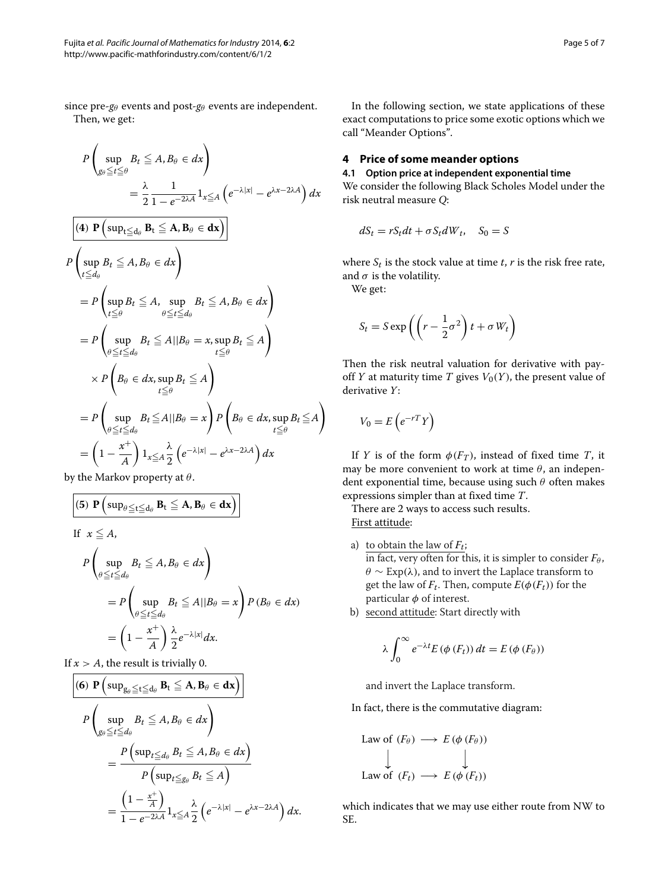since pre- $g_{\theta}$  events and post- $g_{\theta}$  events are independent. Then, we get:

$$
P\left(\sup_{g_{\theta}\leq t\leq\theta} B_{t} \leq A, B_{\theta} \in dx\right)
$$
  
\n
$$
= \frac{\lambda}{2} \frac{1}{1 - e^{-2\lambda A}} 1_{x \leq A} \left(e^{-\lambda |x|} - e^{\lambda x - 2\lambda A}\right) dx
$$
  
\n
$$
\boxed{(4) \ P\left(\sup_{t\leq d_{\theta}} B_{t} \leq A, B_{\theta} \in dx\right)}
$$
  
\n
$$
P\left(\sup_{t\leq d_{\theta}} B_{t} \leq A, B_{\theta} \in dx\right)
$$
  
\n
$$
= P\left(\sup_{t\leq\theta} B_{t} \leq A, \sup_{\theta\leq t\leq d_{\theta}} B_{t} \leq A, B_{\theta} \in dx\right)
$$
  
\n
$$
= P\left(\sup_{\theta\leq t\leq d_{\theta}} B_{t} \leq A ||B_{\theta} = x, \sup_{t\leq\theta} B_{t} \leq A\right)
$$
  
\n
$$
\times P\left(B_{\theta} \in dx, \sup_{t\leq\theta} B_{t} \leq A\right)
$$
  
\n
$$
= P\left(\sup_{\theta\leq t\leq d_{\theta}} B_{t} \leq A ||B_{\theta} = x\right) P\left(B_{\theta} \in dx, \sup_{t\leq\theta} B_{t} \leq A\right)
$$
  
\n
$$
= P\left(\sup_{\theta\leq t\leq d_{\theta}} B_{t} \leq A ||B_{\theta} = x\right) P\left(B_{\theta} \in dx, \sup_{t\leq\theta} B_{t} \leq A\right)
$$
  
\n
$$
= \left(1 - \frac{x^{+}}{A}\right) 1_{x \leq A} \frac{\lambda}{2} \left(e^{-\lambda |x|} - e^{\lambda x - 2\lambda A}\right) dx
$$

by the Markov property at  $\theta$ .

(5) 
$$
\mathbf{P}\left(\sup_{\theta \leq t \leq d_{\theta}} \mathbf{B}_{t} \leq \mathbf{A}, \mathbf{B}_{\theta} \in \mathbf{dx}\right)
$$
  
\nIf  $x \leq A$ ,  
\n
$$
P\left(\sup_{\theta \leq t \leq d_{\theta}} B_{t} \leq A, B_{\theta} \in dx\right)
$$
\n
$$
= P\left(\sup_{\theta \leq t \leq d_{\theta}} B_{t} \leq A || B_{\theta} = x\right) P (B_{\theta} \in dx)
$$
\n
$$
= \left(1 - \frac{x^{+}}{A}\right) \frac{\lambda}{2} e^{-\lambda |x|} dx.
$$

If  $x > A$ , the result is trivially 0.

$$
\begin{aligned}\n\text{(6) } & \mathbf{P} \left( \sup_{g_{\theta} \leq t \leq d_{\theta}} \mathbf{B}_{t} \leq \mathbf{A}, \mathbf{B}_{\theta} \in \mathbf{dx} \right) \\
P \left( \sup_{g_{\theta} \leq t \leq d_{\theta}} B_{t} \leq A, B_{\theta} \in dx \right) \\
& = \frac{P \left( \sup_{t \leq d_{\theta}} B_{t} \leq A, B_{\theta} \in dx \right)}{P \left( \sup_{t \leq g_{\theta}} B_{t} \leq A \right)} \\
& = \frac{\left( 1 - \frac{x^{+}}{A} \right)}{1 - e^{-2\lambda A}} 1_{x \leq A} \frac{\lambda}{2} \left( e^{-\lambda |x|} - e^{\lambda x - 2\lambda A} \right) dx.\n\end{aligned}
$$

In the following section, we state applications of these exact computations to price some exotic options which we call "Meander Options".

# <span id="page-4-0"></span>**4 Price of some meander options**

## **4.1 Option price at independent exponential time**

We consider the following Black Scholes Model under the risk neutral measure *Q*:

$$
dS_t = rS_t dt + \sigma S_t dW_t, \quad S_0 = S
$$

where  $S_t$  is the stock value at time  $t$ ,  $r$  is the risk free rate, and  $\sigma$  is the volatility.

We get:

$$
S_t = S \exp\left(\left(r - \frac{1}{2}\sigma^2\right)t + \sigma W_t\right)
$$

Then the risk neutral valuation for derivative with payoff *Y* at maturity time *T* gives  $V_0(Y)$ , the present value of derivative *Y*:

$$
V_0 = E\left(e^{-rT}Y\right)
$$

If *Y* is of the form  $\phi(F_T)$ , instead of fixed time *T*, it may be more convenient to work at time  $\theta$ , an independent exponential time, because using such  $\theta$  often makes expressions simpler than at fixed time *T*.

There are 2 ways to access such results. First attitude:

- a) to obtain the law of  $F_t$ ; in fact, very often for this, it is simpler to consider  $F_{\theta}$ ,  $\theta \sim \text{Exp}(\lambda)$ , and to invert the Laplace transform to get the law of  $F_t$ . Then, compute  $E(\phi(F_t))$  for the particular  $\phi$  of interest.
- b) second attitude: Start directly with

$$
\lambda \int_0^\infty e^{-\lambda t} E(\phi(F_t)) dt = E(\phi(F_\theta))
$$

and invert the Laplace transform.

In fact, there is the commutative diagram:

Law of 
$$
(F_{\theta}) \longrightarrow E(\phi(F_{\theta}))
$$
  
\n
$$
\downarrow \qquad \qquad \downarrow
$$
\nLaw of  $(F_t) \longrightarrow E(\phi(F_t))$ 

which indicates that we may use either route from NW to SE.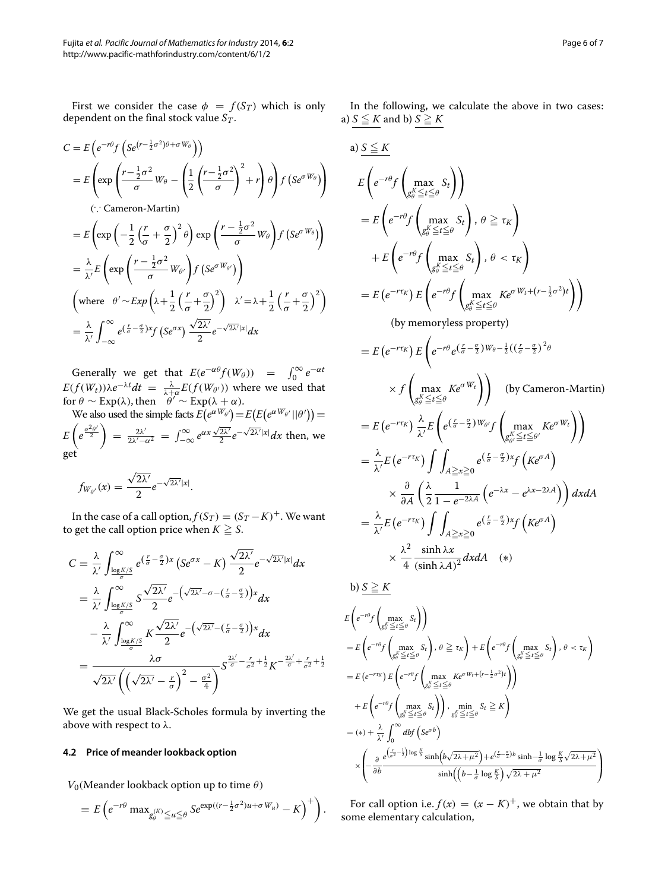First we consider the case  $\phi = f(S_T)$  which is only dependent on the final stock value *ST*.

$$
C = E\left(e^{-r\theta}f\left(se^{(r-\frac{1}{2}\sigma^2)\theta + \sigma W_{\theta}}\right)\right)
$$
  
\n
$$
= E\left(\exp\left(\frac{r-\frac{1}{2}\sigma^2}{\sigma}W_{\theta} - \left(\frac{1}{2}\left(\frac{r-\frac{1}{2}\sigma^2}{\sigma}\right)^2 + r\right)\theta\right)f\left(Se^{\sigma W_{\theta}}\right)\right)
$$
  
\n
$$
\therefore \text{ Cameron-Martin})
$$
  
\n
$$
= E\left(\exp\left(-\frac{1}{2}\left(\frac{r}{\sigma} + \frac{\sigma}{2}\right)^2\theta\right)\exp\left(\frac{r-\frac{1}{2}\sigma^2}{\sigma}W_{\theta}\right)f\left(Se^{\sigma W_{\theta}}\right)\right)
$$
  
\n
$$
= \frac{\lambda}{\lambda'}E\left(\exp\left(\frac{r-\frac{1}{2}\sigma^2}{\sigma}W_{\theta'}\right)f\left(Se^{\sigma W_{\theta'}}\right)\right)
$$
  
\n
$$
\left(\text{where } \theta' \sim Exp\left(\lambda + \frac{1}{2}\left(\frac{r}{\sigma} + \frac{\sigma}{2}\right)^2\right) \lambda' = \lambda + \frac{1}{2}\left(\frac{r}{\sigma} + \frac{\sigma}{2}\right)^2\right)
$$
  
\n
$$
= \frac{\lambda}{\lambda'}\int_{-\infty}^{\infty} e^{\left(\frac{r}{\sigma} - \frac{\sigma}{2}\right)x}f\left(Se^{\sigma x}\right)\frac{\sqrt{2\lambda'}}{2}e^{-\sqrt{2\lambda'}|x|}dx
$$

Generally we get that  $E(e^{-\alpha \theta} f(W_{\theta})) = \int_0^{\infty} e^{-\alpha t}$  $E(f(W_t))\lambda e^{-\lambda t}dt = \frac{\lambda}{\lambda+\alpha}E(f(W_{\theta'}))$  where we used that for  $\theta \sim \text{Exp}(\lambda)$ , then  $\theta' \sim \text{Exp}(\lambda + \alpha)$ .

We also used the simple facts  $E(e^{\alpha W_{\theta'}}) = E(E(e^{\alpha W_{\theta'}} || \theta')) =$  $E\left(e^{\frac{\alpha^2\theta'}{2}}\right) = \frac{2\lambda'}{2\lambda'-\alpha^2} = \int_{-\infty}^{\infty} e^{\alpha x} \frac{\sqrt{2\lambda'}}{2} e^{-\sqrt{2\lambda'}|x|} dx$  then, we get

$$
f_{W_{\theta'}}(x) = \frac{\sqrt{2\lambda'}}{2} e^{-\sqrt{2\lambda'}|x|}.
$$

In the case of a call option,  $f(S_T) = (S_T - K)^+$ . We want to get the call option price when  $K\geqq S.$ 

$$
C = \frac{\lambda}{\lambda'} \int_{\frac{\log K/S}{\sigma}}^{\infty} e^{\left(\frac{r}{\sigma} - \frac{\sigma}{2}\right)x} \left(Se^{\sigma x} - K\right) \frac{\sqrt{2\lambda'}}{2} e^{-\sqrt{2\lambda'}|x|} dx
$$
  
\n
$$
= \frac{\lambda}{\lambda'} \int_{\frac{\log K/S}{\sigma}}^{\infty} S \frac{\sqrt{2\lambda'}}{2} e^{-\left(\sqrt{2\lambda'} - \sigma - \left(\frac{r}{\sigma} - \frac{\sigma}{2}\right)\right)x} dx
$$
  
\n
$$
- \frac{\lambda}{\lambda'} \int_{\frac{\log K/S}{\sigma}}^{\infty} K \frac{\sqrt{2\lambda'}}{2} e^{-\left(\sqrt{2\lambda'} - \left(\frac{r}{\sigma} - \frac{\sigma}{2}\right)\right)x} dx
$$
  
\n
$$
= \frac{\lambda \sigma}{\sqrt{2\lambda'} \left(\left(\sqrt{2\lambda'} - \frac{r}{\sigma}\right)^2 - \frac{\sigma^2}{4}\right)} S^{\frac{2\lambda'}{\sigma} - \frac{r}{\sigma^2} + \frac{1}{2}} K^{-\frac{2\lambda'}{\sigma} + \frac{r}{\sigma^2} + \frac{1}{2}}
$$

We get the usual Black-Scholes formula by inverting the above with respect to  $\lambda$ .

# **4.2 Price of meander lookback option**

*V*<sub>0</sub>(Meander lookback option up to time  $\theta$ )

$$
= E\left(e^{-r\theta}\max_{g_\theta^{(K)}\leq u\leq \theta} S e^{\exp((r-\frac{1}{2}\sigma^2)u+\sigma W_u)} - K\right)^+ \bigg).
$$

In the following, we calculate the above in two cases: a)  $S \leq K$  and b)  $S \geq K$ 

a) 
$$
S \leq K
$$
  
\n
$$
E\left(e^{-r\theta}f\left(\max_{g_0^K \leq t \leq \theta} S_t\right)\right)
$$
\n
$$
= E\left(e^{-r\theta}f\left(\max_{g_0^K \leq t \leq \theta} S_t\right), \theta \geq \tau_K\right)
$$
\n
$$
+ E\left(e^{-r\theta}f\left(\max_{g_0^K \leq t \leq \theta} S_t\right), \theta < \tau_K\right)
$$
\n
$$
= E\left(e^{-r\tau_K}\right)E\left(e^{-r\theta}f\left(\max_{g_0^K \leq t \leq \theta} K e^{\sigma W_t + (r-\frac{1}{2}\sigma^2)t}\right)\right)
$$
\n(by memoryless property)\n
$$
= E\left(e^{-r\tau_K}\right)E\left(e^{-r\theta}e^{\left(-\frac{\sigma}{2}\right)W_{\theta}-\frac{1}{2}\left(\left(-\frac{\sigma}{2}\right)^2\theta\right)} \times f\left(\max_{g_0^K \leq t \leq \theta} K e^{\sigma W_t}\right)\right) \text{ (by Cameron-Martin)}
$$
\n
$$
= E\left(e^{-r\tau_K}\right) \frac{\lambda}{\lambda'} E\left(e^{\left(-\frac{\sigma}{2}\right)W_{\theta'}f}\left(\max_{g_0^K \leq t \leq \theta} K e^{\sigma W_t}\right)\right)
$$
\n
$$
= \frac{\lambda}{\lambda'} E\left(e^{-r\tau_K}\right) \int \int_{A \geq x \geq 0} e^{\left(-\frac{\sigma}{2}\right)x}f\left(K e^{\sigma A}\right)
$$
\n
$$
\times \frac{\partial}{\partial A}\left(\frac{\lambda}{2} \frac{1}{1-e^{-2\lambda A}}\left(e^{-\lambda x}-e^{\lambda x-2\lambda A}\right)\right) dx dA
$$
\n
$$
= \frac{\lambda}{\lambda'} E\left(e^{-r\tau_K}\right) \int \int_{A \geq x \geq 0} e^{\left(-\frac{\sigma}{2}\right)x}f\left(K e^{\sigma A}\right)
$$
\n
$$
\times \frac{\lambda}{\lambda} \frac{\sinh \lambda x}{4 \sinh \lambda \lambda^2} dx dA \quad (*)
$$
\nb)  $S \geq K$ \n
$$
E\left(e^{-r\theta}f\left(\max_{g_0^K \leq t \leq \theta} S_t\right), \
$$

For call option i.e.  $f(x) = (x - K)^{+}$ , we obtain that by some elementary calculation,